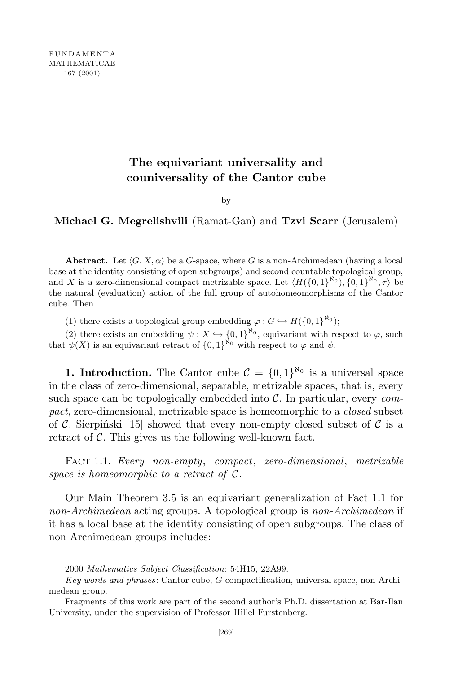## **The equivariant universality and couniversality of the Cantor cube**

## by

**Michael G. Megrelishvili** (Ramat-Gan) and **Tzvi Scarr** (Jerusalem)

**Abstract.** Let  $\langle G, X, \alpha \rangle$  be a *G*-space, where *G* is a non-Archimedean (having a local base at the identity consisting of open subgroups) and second countable topological group, and *X* is a zero-dimensional compact metrizable space. Let  $\langle H(\{0,1\}^{N_0}), \{0,1\}^{N_0}, \tau \rangle$  be the natural (evaluation) action of the full group of autohomeomorphisms of the Cantor cube. Then

(1) there exists a topological group embedding  $\varphi : G \hookrightarrow H(\{0,1\}^{\aleph_0});$ 

(2) there exists an embedding  $\psi : X \hookrightarrow \{0,1\}^{\kappa_0}$ , equivariant with respect to  $\varphi$ , such that  $\psi(X)$  is an equivariant retract of  $\{0,1\}^{\kappa_0}$  with respect to  $\varphi$  and  $\psi$ .

**1. Introduction.** The Cantor cube  $C = \{0, 1\}^{\aleph_0}$  is a universal space in the class of zero-dimensional, separable, metrizable spaces, that is, every such space can be topologically embedded into *C*. In particular, every *compact*, zero-dimensional, metrizable space is homeomorphic to a *closed* subset of C. Sierpiński [15] showed that every non-empty closed subset of  $\mathcal C$  is a retract of *C*. This gives us the following well-known fact.

Fact 1.1. *Every non-empty*, *compact*, *zero-dimensional*, *metrizable space is homeomorphic to a retract of*  $C$ *.* 

Our Main Theorem 3.5 is an equivariant generalization of Fact 1.1 for *non-Archimedean* acting groups. A topological group is *non-Archimedean* if it has a local base at the identity consisting of open subgroups. The class of non-Archimedean groups includes:

<sup>2000</sup> *Mathematics Subject Classification*: 54H15, 22A99.

*Key words and phrases*: Cantor cube, *G*-compactification, universal space, non-Archimedean group.

Fragments of this work are part of the second author's Ph.D. dissertation at Bar-Ilan University, under the supervision of Professor Hillel Furstenberg.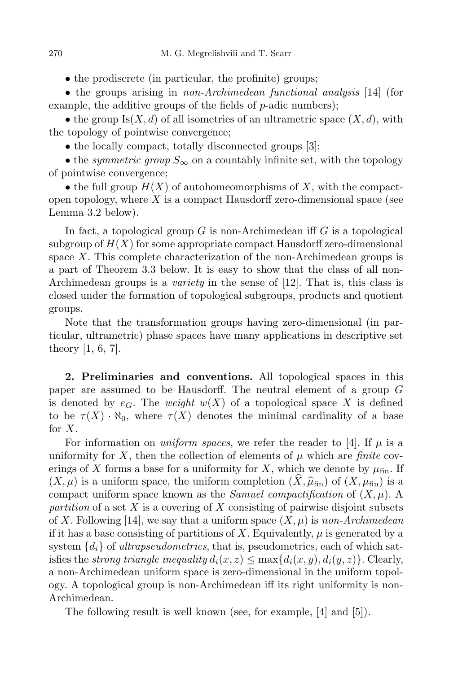• the prodiscrete (in particular, the profinite) groups;

*•* the groups arising in *non-Archimedean functional analysis* [14] (for example, the additive groups of the fields of *p*-adic numbers);

• the group  $Is(X, d)$  of all isometries of an ultrametric space  $(X, d)$ , with the topology of pointwise convergence;

• the locally compact, totally disconnected groups [3];

• the *symmetric group*  $S_\infty$  on a countably infinite set, with the topology of pointwise convergence;

• the full group  $H(X)$  of autohomeomorphisms of X, with the compactopen topology, where *X* is a compact Hausdorff zero-dimensional space (see Lemma 3.2 below).

In fact, a topological group *G* is non-Archimedean iff *G* is a topological subgroup of  $H(X)$  for some appropriate compact Hausdorff zero-dimensional space *X*. This complete characterization of the non-Archimedean groups is a part of Theorem 3.3 below. It is easy to show that the class of all non-Archimedean groups is a *variety* in the sense of [12]. That is, this class is closed under the formation of topological subgroups, products and quotient groups.

Note that the transformation groups having zero-dimensional (in particular, ultrametric) phase spaces have many applications in descriptive set theory [1, 6, 7].

**2. Preliminaries and conventions.** All topological spaces in this paper are assumed to be Hausdorff. The neutral element of a group *G* is denoted by  $e_G$ . The *weight*  $w(X)$  of a topological space X is defined to be  $\tau(X) \cdot \aleph_0$ , where  $\tau(X)$  denotes the minimal cardinality of a base for *X*.

For information on *uniform spaces*, we refer the reader to [4]. If  $\mu$  is a uniformity for X, then the collection of elements of  $\mu$  which are *finite* coverings of X forms a base for a uniformity for X, which we denote by  $\mu_{fin}$ . If  $(X, \mu)$  is a uniform space, the uniform completion  $(X, \hat{\mu}_{fin})$  of  $(X, \mu_{fin})$  is a compact uniform space known as the *Samuel compactification* of  $(X, \mu)$ . A *partition* of a set *X* is a covering of *X* consisting of pairwise disjoint subsets of *X*. Following [14], we say that a uniform space  $(X, \mu)$  is *non-Archimedean* if it has a base consisting of partitions of X. Equivalently,  $\mu$  is generated by a system  ${d_i}$  of *ultrapseudometrics*, that is, pseudometrics, each of which satisfies the *strong triangle inequality*  $d_i(x, z) \leq \max\{d_i(x, y), d_i(y, z)\}$ . Clearly, a non-Archimedean uniform space is zero-dimensional in the uniform topology. A topological group is non-Archimedean iff its right uniformity is non-Archimedean.

The following result is well known (see, for example, [4] and [5]).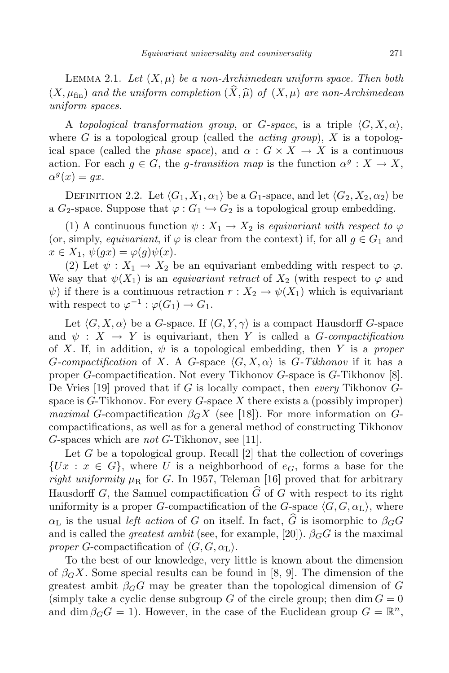LEMMA 2.1. Let  $(X, \mu)$  be a non-Archimedean uniform space. Then both  $(X, \mu_{fin})$  and the uniform completion  $(\hat{X}, \hat{\mu})$  of  $(X, \mu)$  are non-Archimedean *uniform spaces.*

A *topological transformation group*, or *G*-space, is a triple  $\langle G, X, \alpha \rangle$ , where  $G$  is a topological group (called the *acting group*),  $X$  is a topological space (called the *phase space*), and  $\alpha$  :  $G \times X \rightarrow X$  is a continuous action. For each  $g \in G$ , the *g-transition map* is the function  $\alpha^g : X \to X$ ,  $\alpha^g(x) = gx.$ 

DEFINITION 2.2. Let  $\langle G_1, X_1, \alpha_1 \rangle$  be a  $G_1$ -space, and let  $\langle G_2, X_2, \alpha_2 \rangle$  be a  $G_2$ -space. Suppose that  $\varphi: G_1 \hookrightarrow G_2$  is a topological group embedding.

(1) A continuous function  $\psi: X_1 \to X_2$  is *equivariant with respect to*  $\varphi$ (or, simply, *equivariant*, if  $\varphi$  is clear from the context) if, for all  $q \in G_1$  and  $x \in X_1$ ,  $\psi(gx) = \varphi(g)\psi(x)$ .

(2) Let  $\psi : X_1 \to X_2$  be an equivariant embedding with respect to  $\varphi$ . We say that  $\psi(X_1)$  is an *equivariant retract* of  $X_2$  (with respect to  $\varphi$  and  $\psi$ ) if there is a continuous retraction  $r: X_2 \to \psi(X_1)$  which is equivariant with respect to  $\varphi^{-1} : \varphi(G_1) \to G_1$ .

Let  $\langle G, X, \alpha \rangle$  be a *G*-space. If  $\langle G, Y, \gamma \rangle$  is a compact Hausdorff *G*-space and  $\psi$  :  $X \rightarrow Y$  is equivariant, then *Y* is called a *G*-compactification of *X*. If, in addition,  $\psi$  is a topological embedding, then *Y* is a *proper G*-compactification of *X*. A *G*-space  $\langle G, X, \alpha \rangle$  is *G*-Tikhonov if it has a proper *G*-compactification. Not every Tikhonov *G*-space is *G*-Tikhonov [8]. De Vries [19] proved that if *G* is locally compact, then *every* Tikhonov *G*space is *G*-Tikhonov. For every *G*-space *X* there exists a (possibly improper) *maximal G*-compactification  $\beta_G X$  (see [18]). For more information on *G*compactifications, as well as for a general method of constructing Tikhonov *G*-spaces which are *not G*-Tikhonov, see [11].

Let *G* be a topological group. Recall [2] that the collection of coverings  ${Ux : x \in G}$ , where *U* is a neighborhood of  $e_G$ , forms a base for the *right uniformity*  $\mu_R$  for *G*. In 1957, Teleman [16] proved that for arbitrary Hausdorff *G*, the Samuel compactification  $\widehat{G}$  of *G* with respect to its right uniformity is a proper *G*-compactification of the *G*-space  $\langle G, G, \alpha_{\text{L}} \rangle$ , where *α*<sub>L</sub> is the usual *left action* of *G* on itself. In fact,  $\widehat{G}$  is isomorphic to *β<sub><i>G*</sub></sub>G and is called the *greatest ambit* (see, for example, [20]).  $\beta_G G$  is the maximal *proper G*-compactification of  $\langle G, G, \alpha_L \rangle$ .

To the best of our knowledge, very little is known about the dimension of  $\beta_G X$ . Some special results can be found in [8, 9]. The dimension of the greatest ambit  $\beta_G G$  may be greater than the topological dimension of  $G$ (simply take a cyclic dense subgroup *G* of the circle group; then  $\dim G = 0$ and dim  $\beta_G G = 1$ ). However, in the case of the Euclidean group  $G = \mathbb{R}^n$ ,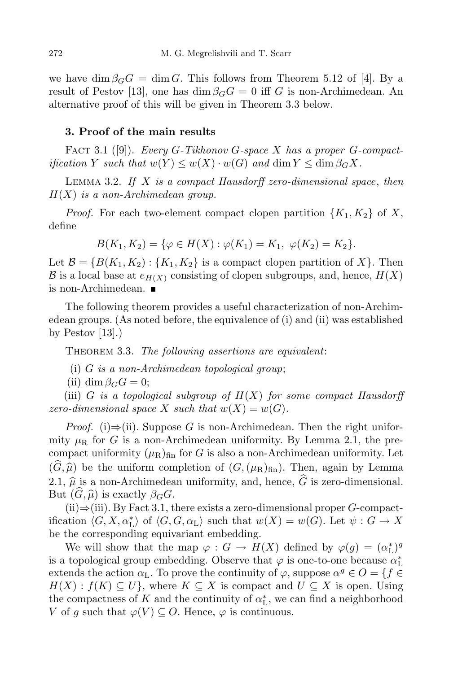we have dim  $\beta_G G = \dim G$ . This follows from Theorem 5.12 of [4]. By a result of Pestov [13], one has  $\dim \beta_G G = 0$  iff *G* is non-Archimedean. An alternative proof of this will be given in Theorem 3.3 below.

## **3. Proof of the main results**

Fact 3.1 ([9]). *Every G-Tikhonov G-space X has a proper G-compactification Y such that*  $w(Y) \leq w(X) \cdot w(G)$  *and* dim  $Y \leq \dim \beta_G X$ .

Lemma 3.2. *If X is a compact Hausdorff zero-dimensional space*, *then H*(*X*) *is a non-Archimedean group.*

*Proof.* For each two-element compact clopen partition  ${K_1, K_2}$  of X, define

$$
B(K_1, K_2) = \{ \varphi \in H(X) : \varphi(K_1) = K_1, \ \varphi(K_2) = K_2 \}.
$$

Let  $\mathcal{B} = \{B(K_1, K_2) : \{K_1, K_2\}$  is a compact clopen partition of X $\}$ . Then *B* is a local base at  $e_{H(X)}$  consisting of clopen subgroups, and, hence,  $H(X)$ is non-Archimedean.

The following theorem provides a useful characterization of non-Archimedean groups. (As noted before, the equivalence of (i) and (ii) was established by Pestov  $[13]$ .)

Theorem 3.3. *The following assertions are equivalent*:

- (i) *G is a non-Archimedean topological group*;
- (ii) dim  $\beta_G G = 0$ ;

(iii) *G is a topological subgroup of*  $H(X)$  *for some compact Hausdorff zero-dimensional space X such that*  $w(X) = w(G)$ *.* 

*Proof.* (i)⇒(ii). Suppose *G* is non-Archimedean. Then the right uniformity  $\mu_R$  for *G* is a non-Archimedean uniformity. By Lemma 2.1, the precompact uniformity  $(\mu_R)_{fin}$  for *G* is also a non-Archimedean uniformity. Let  $(\widehat{G}, \widehat{\mu})$  be the uniform completion of  $(G, (\mu_R)_{fin})$ . Then, again by Lemma 2.1,  $\hat{\mu}$  is a non-Archimedean uniformity, and, hence,  $\hat{G}$  is zero-dimensional. But  $(G, \hat{\mu})$  is exactly  $\beta_G G$ .

(ii)*⇒*(iii). By Fact 3.1, there exists a zero-dimensional proper *G*-compactification  $\langle G, X, \alpha_{\mathcal{L}}^* \rangle$  of  $\langle G, G, \alpha_{\mathcal{L}} \rangle$  such that  $w(X) = w(G)$ . Let  $\psi : G \to X$ be the corresponding equivariant embedding.

We will show that the map  $\varphi : G \to H(X)$  defined by  $\varphi(g) = (\alpha_L^*)^g$ is a topological group embedding. Observe that  $\varphi$  is one-to-one because  $\alpha_L^*$ extends the action  $\alpha_L$ . To prove the continuity of  $\varphi$ , suppose  $\alpha^g \in O = \{f \in$  $H(X) : f(K) \subseteq U$ , where  $K \subseteq X$  is compact and  $U \subseteq X$  is open. Using the compactness of  $K$  and the continuity of  $\alpha^*_{\text{L}}$ , we can find a neighborhood *V* of *g* such that  $\varphi(V) \subseteq O$ . Hence,  $\varphi$  is continuous.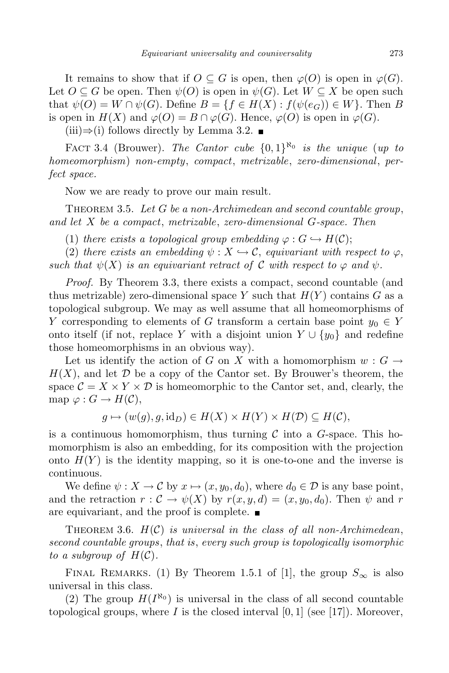It remains to show that if  $O \subseteq G$  is open, then  $\varphi(O)$  is open in  $\varphi(G)$ . Let  $O \subseteq G$  be open. Then  $\psi(O)$  is open in  $\psi(G)$ . Let  $W \subseteq X$  be open such that  $\psi(O) = W \cap \psi(G)$ . Define  $B = \{f \in H(X) : f(\psi(e_G)) \in W\}$ . Then *B* is open in  $H(X)$  and  $\varphi(O) = B \cap \varphi(G)$ . Hence,  $\varphi(O)$  is open in  $\varphi(G)$ .

 $(iii) \Rightarrow (i)$  follows directly by Lemma 3.2. ■

FACT 3.4 (Brouwer). *The Cantor cube*  $\{0,1\}^{\aleph_0}$  *is the unique (up to homeomorphism*) *non-empty*, *compact*, *metrizable*, *zero-dimensional*, *perfect space.*

Now we are ready to prove our main result.

Theorem 3.5. *Let G be a non-Archimedean and second countable group*, *and let X be a compact*, *metrizable*, *zero-dimensional G-space. Then*

(1) *there exists* a *topological group embedding*  $\varphi : G \hookrightarrow H(C)$ ;

(2) *there exists* an *embedding*  $\psi : X \hookrightarrow \mathcal{C}$ , *equivariant with respect to*  $\varphi$ , *such that*  $\psi(X)$  *is an equivariant retract of*  $\mathcal C$  *with respect to*  $\varphi$  *and*  $\psi$ *.* 

*Proof.* By Theorem 3.3, there exists a compact, second countable (and thus metrizable) zero-dimensional space  $Y$  such that  $H(Y)$  contains  $G$  as a topological subgroup. We may as well assume that all homeomorphisms of *Y* corresponding to elements of *G* transform a certain base point *y*<sup>0</sup> *∈ Y* onto itself (if not, replace *Y* with a disjoint union  $Y \cup \{y_0\}$  and redefine those homeomorphisms in an obvious way).

Let us identify the action of *G* on *X* with a homomorphism  $w : G \rightarrow$  $H(X)$ , and let  $\mathcal D$  be a copy of the Cantor set. By Brouwer's theorem, the space  $\mathcal{C} = X \times Y \times \mathcal{D}$  is homeomorphic to the Cantor set, and, clearly, the  $map \varphi : G \to H(\mathcal{C}),$ 

 $g \mapsto (w(g), g, \text{id}_D) \in H(X) \times H(Y) \times H(\mathcal{D}) \subseteq H(\mathcal{C}),$ 

is a continuous homomorphism, thus turning *C* into a *G*-space. This homomorphism is also an embedding, for its composition with the projection onto  $H(Y)$  is the identity mapping, so it is one-to-one and the inverse is continuous.

We define  $\psi: X \to \mathcal{C}$  by  $x \mapsto (x, y_0, d_0)$ , where  $d_0 \in \mathcal{D}$  is any base point, and the retraction  $r : \mathcal{C} \to \psi(X)$  by  $r(x, y, d) = (x, y_0, d_0)$ . Then  $\psi$  and  $r$ are equivariant, and the proof is complete.

THEOREM 3.6.  $H(C)$  *is universal in the class of all non-Archimedean*, *second countable groups*, *that is*, *every such group is topologically isomorphic to a subgroup of*  $H(\mathcal{C})$ *.* 

FINAL REMARKS. (1) By Theorem 1.5.1 of [1], the group  $S_{\infty}$  is also universal in this class.

(2) The group  $H(I^{\aleph_0})$  is universal in the class of all second countable topological groups, where *I* is the closed interval  $[0, 1]$  (see [17]). Moreover,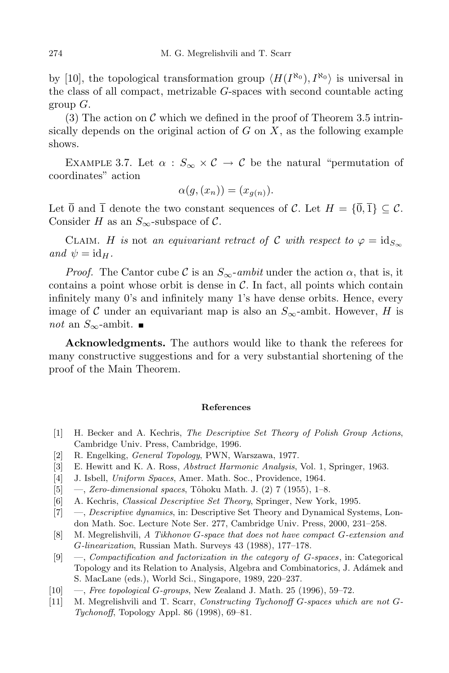by [10], the topological transformation group  $\langle H(I^{\aleph_0}), I^{\aleph_0} \rangle$  is universal in the class of all compact, metrizable *G*-spaces with second countable acting group *G*.

(3) The action on *C* which we defined in the proof of Theorem 3.5 intrinsically depends on the original action of *G* on *X*, as the following example shows.

EXAMPLE 3.7. Let  $\alpha$  :  $S_{\infty} \times C \rightarrow C$  be the natural "permutation of coordinates" action

$$
\alpha(g,(x_n))=(x_{g(n)}).
$$

Let  $\overline{0}$  and  $\overline{1}$  denote the two constant sequences of *C*. Let  $H = {\overline{0}, \overline{1}} \subseteq C$ . Consider *H* as an  $S_\infty$ -subspace of  $\mathcal{C}$ .

CLAIM. *H is* not *an equivariant retract of C with respect to*  $\varphi = id_{S_{\infty}}$  $and \psi = id_H.$ 

*Proof.* The Cantor cube C is an  $S_\infty$ -*ambit* under the action  $\alpha$ , that is, it contains a point whose orbit is dense in *C*. In fact, all points which contain infinitely many 0's and infinitely many 1's have dense orbits. Hence, every image of C under an equivariant map is also an  $S_{\infty}$ -ambit. However, H is *not* an *S*<sub>∞</sub>-ambit. ■

**Acknowledgments.** The authors would like to thank the referees for many constructive suggestions and for a very substantial shortening of the proof of the Main Theorem.

## **References**

- [1] H. Becker and A. Kechris, *The Descriptive Set Theory of Polish Group Actions*, Cambridge Univ. Press, Cambridge, 1996.
- [2] R. Engelking, *General Topology*, PWN, Warszawa, 1977.
- [3] E. Hewitt and K. A. Ross, *Abstract Harmonic Analysis*, Vol. 1, Springer, 1963.
- [4] J. Isbell, *Uniform Spaces*, Amer. Math. Soc., Providence, 1964.
- [5] —, *Zero-dimensional spaces*, Tôhoku Math. J. (2) 7 (1955), 1–8.
- [6] A. Kechris, *Classical Descriptive Set Theory*, Springer, New York, 1995.
- [7] —, *Descriptive dynamics*, in: Descriptive Set Theory and Dynamical Systems, London Math. Soc. Lecture Note Ser. 277, Cambridge Univ. Press, 2000, 231–258.
- [8] M. Megrelishvili, *A Tikhonov G-space that does not have compact G-extension and G-linearization*, Russian Math. Surveys 43 (1988), 177–178.
- [9] —, *Compactification and factorization in the category of G-spaces*, in: Categorical Topology and its Relation to Analysis, Algebra and Combinatorics, J. Ad´amek and S. MacLane (eds.), World Sci., Singapore, 1989, 220–237.
- [10] —, *Free topological G-groups*, New Zealand J. Math. 25 (1996), 59–72.
- [11] M. Megrelishvili and T. Scarr, *Constructing Tychonoff G-spaces which are not G-Tychonoff*, Topology Appl. 86 (1998), 69–81.